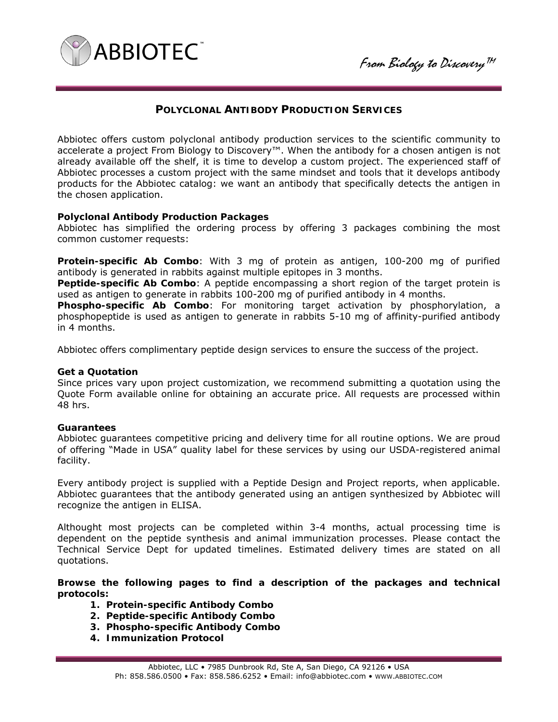



# **POLYCLONAL ANTIBODY PRODUCTION SERVICES**

Abbiotec offers custom polyclonal antibody production services to the scientific community to accelerate a project From Biology to Discovery™. When the antibody for a chosen antigen is not already available off the shelf, it is time to develop a custom project. The experienced staff of Abbiotec processes a custom project with the same mindset and tools that it develops antibody products for the Abbiotec catalog: we want an antibody that specifically detects the antigen in the chosen application.

### **Polyclonal Antibody Production Packages**

Abbiotec has simplified the ordering process by offering 3 packages combining the most common customer requests:

**Protein-specific Ab Combo**: With 3 mg of protein as antigen, 100-200 mg of purified antibody is generated in rabbits against multiple epitopes in 3 months.

**Peptide-specific Ab Combo**: A peptide encompassing a short region of the target protein is used as antigen to generate in rabbits 100-200 mg of purified antibody in 4 months.

**Phospho-specific Ab Combo**: For monitoring target activation by phosphorylation, a phosphopeptide is used as antigen to generate in rabbits 5-10 mg of affinity-purified antibody in 4 months.

Abbiotec offers complimentary peptide design services to ensure the success of the project.

#### **Get a Quotation**

Since prices vary upon project customization, we recommend submitting a quotation using the Quote Form available online for obtaining an accurate price. All requests are processed within 48 hrs.

#### **Guarantees**

Abbiotec guarantees competitive pricing and delivery time for all routine options. We are proud of offering "Made in USA" quality label for these services by using our USDA-registered animal facility.

Every antibody project is supplied with a Peptide Design and Project reports, when applicable. Abbiotec guarantees that the antibody generated using an antigen synthesized by Abbiotec will recognize the antigen in ELISA.

Althought most projects can be completed within 3-4 months, actual processing time is dependent on the peptide synthesis and animal immunization processes. Please contact the Technical Service Dept for updated timelines. Estimated delivery times are stated on all quotations.

**Browse the following pages to find a description of the packages and technical protocols:** 

- **1. Protein-specific Antibody Combo**
- **2. Peptide-specific Antibody Combo**
- **3. Phospho-specific Antibody Combo**
- **4. Immunization Protocol**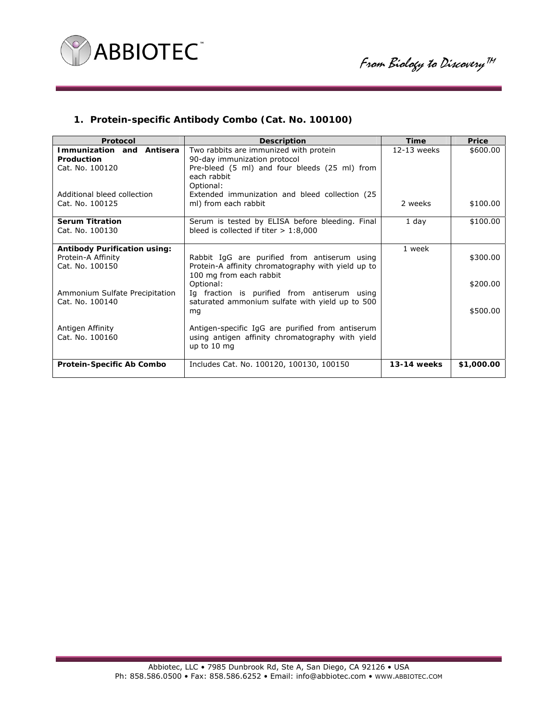

# **1. Protein-specific Antibody Combo (Cat. No. 100100)**

| Protocol                                                                     | <b>Description</b>                                                                                                                                  | <b>Time</b>   | Price      |
|------------------------------------------------------------------------------|-----------------------------------------------------------------------------------------------------------------------------------------------------|---------------|------------|
| Immunization and Antisera<br><b>Production</b><br>Cat. No. 100120            | Two rabbits are immunized with protein<br>90-day immunization protocol<br>Pre-bleed (5 ml) and four bleeds (25 ml) from<br>each rabbit<br>Optional: | $12-13$ weeks | \$600.00   |
| Additional bleed collection<br>Cat. No. 100125                               | Extended immunization and bleed collection (25)<br>ml) from each rabbit                                                                             | 2 weeks       | \$100.00   |
| <b>Serum Titration</b><br>Cat. No. 100130                                    | Serum is tested by ELISA before bleeding. Final<br>bleed is collected if titer $> 1:8,000$                                                          | 1 day         | \$100.00   |
| <b>Antibody Purification using:</b><br>Protein-A Affinity<br>Cat. No. 100150 | Rabbit IgG are purified from antiserum using<br>Protein-A affinity chromatography with yield up to                                                  | 1 week        | \$300.00   |
|                                                                              | 100 mg from each rabbit<br>Optional:                                                                                                                |               | \$200.00   |
| Ammonium Sulfate Precipitation<br>Cat. No. 100140                            | Ig fraction is purified from antiserum using<br>saturated ammonium sulfate with yield up to 500<br>mg                                               |               | \$500.00   |
| Antigen Affinity<br>Cat. No. 100160                                          | Antigen-specific IgG are purified from antiserum<br>using antigen affinity chromatography with yield<br>up to 10 mg                                 |               |            |
| <b>Protein-Specific Ab Combo</b>                                             | Includes Cat. No. 100120, 100130, 100150                                                                                                            | 13-14 weeks   | \$1,000.00 |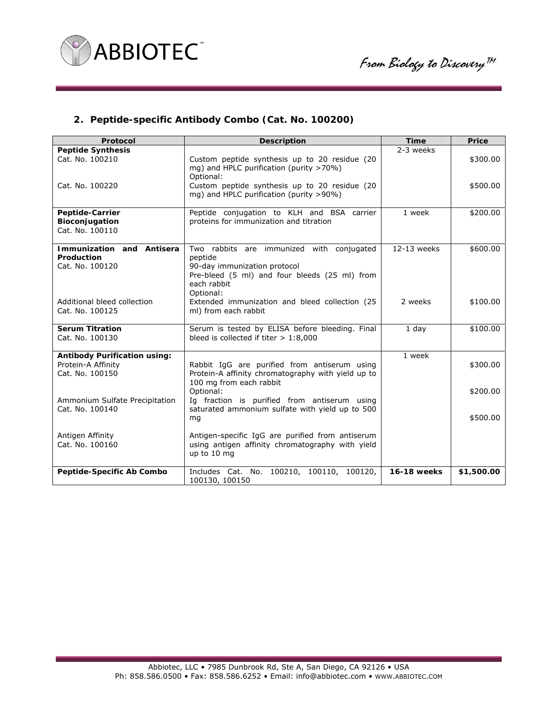

## **2. Peptide-specific Antibody Combo (Cat. No. 100200)**

| Protocol                                                                     | <b>Description</b>                                                                                                                                                | <b>Time</b> | Price                |
|------------------------------------------------------------------------------|-------------------------------------------------------------------------------------------------------------------------------------------------------------------|-------------|----------------------|
| <b>Peptide Synthesis</b><br>Cat. No. 100210                                  | Custom peptide synthesis up to 20 residue (20<br>mg) and HPLC purification (purity >70%)                                                                          | 2-3 weeks   | \$300.00             |
| Cat. No. 100220                                                              | Optional:<br>Custom peptide synthesis up to 20 residue (20<br>mg) and HPLC purification (purity >90%)                                                             |             | \$500.00             |
| Peptide-Carrier<br>Bioconjugation<br>Cat. No. 100110                         | Peptide conjugation to KLH and BSA carrier<br>proteins for immunization and titration                                                                             | 1 week      | \$200.00             |
| Immunization and Antisera<br>Production<br>Cat. No. 100120                   | Two rabbits are immunized with conjugated<br>peptide<br>90-day immunization protocol<br>Pre-bleed (5 ml) and four bleeds (25 ml) from<br>each rabbit<br>Optional: | 12-13 weeks | \$600.00             |
| Additional bleed collection<br>Cat. No. 100125                               | Extended immunization and bleed collection (25<br>ml) from each rabbit                                                                                            | 2 weeks     | \$100.00             |
| <b>Serum Titration</b><br>Cat. No. 100130                                    | Serum is tested by ELISA before bleeding. Final<br>bleed is collected if titer $> 1:8,000$                                                                        | 1 day       | \$100.00             |
| <b>Antibody Purification using:</b><br>Protein-A Affinity<br>Cat. No. 100150 | Rabbit IgG are purified from antiserum using<br>Protein-A affinity chromatography with yield up to<br>100 mg from each rabbit                                     | 1 week      | \$300.00             |
| Ammonium Sulfate Precipitation<br>Cat. No. 100140                            | Optional:<br>Iq fraction is purified from antiserum using<br>saturated ammonium sulfate with yield up to 500<br>mg                                                |             | \$200.00<br>\$500.00 |
| Antigen Affinity<br>Cat. No. 100160                                          | Antigen-specific IgG are purified from antiserum<br>using antigen affinity chromatography with yield<br>up to 10 mg                                               |             |                      |
| Peptide-Specific Ab Combo                                                    | Includes Cat. No. 100210, 100110, 100120,<br>100130, 100150                                                                                                       | 16-18 weeks | \$1,500.00           |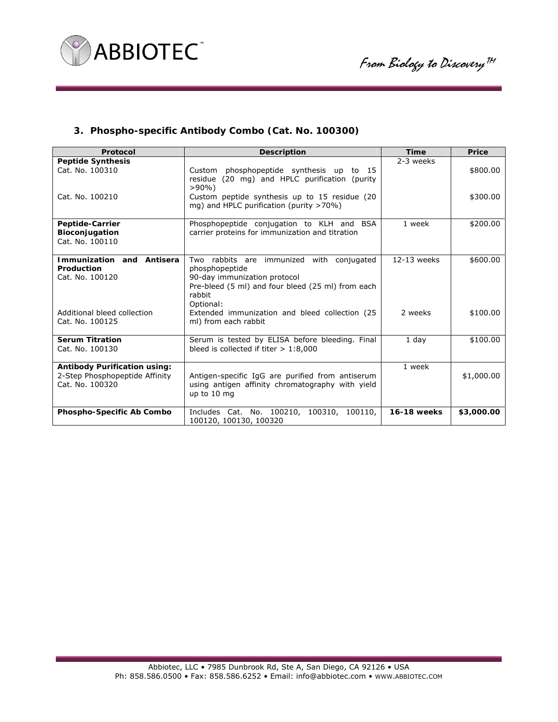

## **3. Phospho-specific Antibody Combo (Cat. No. 100300)**

| Protocol                                                                                 | <b>Description</b>                                                                                                                                                               | <b>Time</b>        | Price      |
|------------------------------------------------------------------------------------------|----------------------------------------------------------------------------------------------------------------------------------------------------------------------------------|--------------------|------------|
| <b>Peptide Synthesis</b><br>Cat. No. 100310                                              | Custom phosphopeptide synthesis up to 15<br>residue (20 mg) and HPLC purification (purity<br>$>90\%$                                                                             | 2-3 weeks          | \$800.00   |
| Cat. No. 100210                                                                          | Custom peptide synthesis up to 15 residue (20)<br>mg) and HPLC purification (purity >70%)                                                                                        |                    | \$300.00   |
| Peptide-Carrier<br>Bioconjugation<br>Cat. No. 100110                                     | Phosphopeptide conjugation to KLH and BSA<br>carrier proteins for immunization and titration                                                                                     | 1 week             | \$200.00   |
| Immunization and Antisera<br><b>Production</b><br>Cat. No. 100120                        | Two rabbits are<br>with<br>immunized<br>conjugated<br>phosphopeptide<br>90-day immunization protocol<br>Pre-bleed (5 ml) and four bleed (25 ml) from each<br>rabbit<br>Optional: | 12-13 weeks        | \$600.00   |
| Additional bleed collection<br>Cat. No. 100125                                           | Extended immunization and bleed collection (25<br>ml) from each rabbit                                                                                                           | 2 weeks            | \$100.00   |
| <b>Serum Titration</b><br>Cat. No. 100130                                                | Serum is tested by ELISA before bleeding. Final<br>bleed is collected if titer $> 1:8,000$                                                                                       | $1$ day            | \$100.00   |
| <b>Antibody Purification using:</b><br>2-Step Phosphopeptide Affinity<br>Cat. No. 100320 | Antigen-specific IgG are purified from antiserum<br>using antigen affinity chromatography with yield<br>up to 10 mg                                                              | 1 week             | \$1,000.00 |
| Phospho-Specific Ab Combo                                                                | Includes Cat. No. 100210, 100310,<br>100110,<br>100120, 100130, 100320                                                                                                           | <b>16-18 weeks</b> | \$3,000.00 |